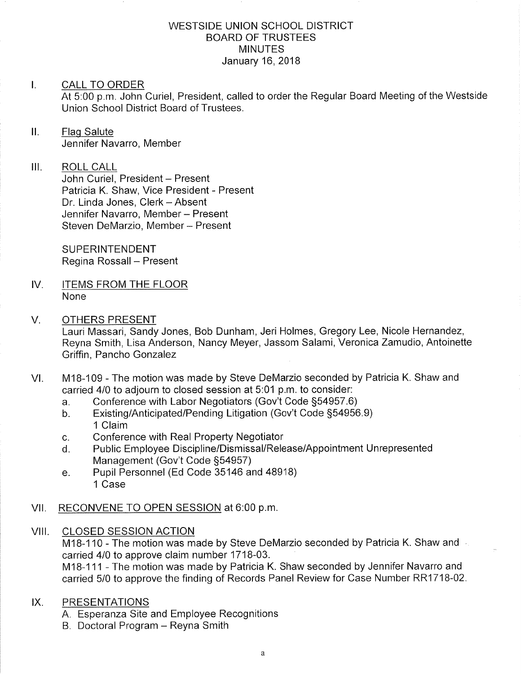#### WESTSIDE UNION SCHOOL DISTRICT BOARD OF TRUSTEES MINUTES January 16,2018

#### I. CALL TO ORDER

At 5:00 p.m. John Curiel, President, called to order the Regular Board Meeting of the Westside Union School District Board of Trustees.

#### $II.$ Flag Salute Jennifer Navarro, Member

#### III. ROLL CALL

John Curiel, President - Present Patricia K. Shaw, Vice President - Present Dr. Linda Jones, Clerk - Absent Jennifer Navarro, Member - Present Steven DeMarzio, Member - Present

**SUPERINTENDENT** Regina Rossall - Present

IV. ITEMS FROM THE FLOOR None

#### V. OTHERS PRESENT

Lauri Massari, Sandy Jones, Bob Dunham, Jeri Holmes, Gregory Lee, Nicole Hernandez, Reyna Smith, Lisa Anderson, Nancy Meyer, Jassom Salami, Veronica Zamudio, Antoinette Griffin, Pancho Gonzalez

- VI. M18-109 The motion was made by Steve DeMarzio seconded by Patricia K. Shaw and carried 4/0 to adjourn to closed session at 5:01 p.m. to consider:<br>a. Conference with Labor Negotiators (Gov't Code §54957.6)
	-
	- a. Conference with Labor Negotiators (Gov't Code §54957.6)<br>b. Existing/Anticipated/Pending Litigation (Gov't Code §54956.9) 1 Claim
	-
	- c. Conference with Real Property Negotiator<br>d. Public Employee Discipline/Dismissal/Release/Appointment Unrepresented Management (Gov't Code S54957)
	- e. Pupil Personnel (Ed Code 35146 and 48918) 1 Case
- Vll. RECONVENE TO OPEN SESSION at 6:00 p.m
- VIII. CLOSED SESSION ACTION

M18-110 - The motion was made by Steve DeMarzio seconded by Patricia K. Shaw and carried 4/0 to approve claim number 1718-03.

M18-111 - The motion was made by Patricia K. Shaw seconded by Jennifer Navarro and carried 5/0 to approve the finding of Records Panel Review for Case Number RR171B-02

#### IX. PRESENTATIONS

A Esperanza Site and Employee Recognitions

B. Doctoral Program – Reyna Smith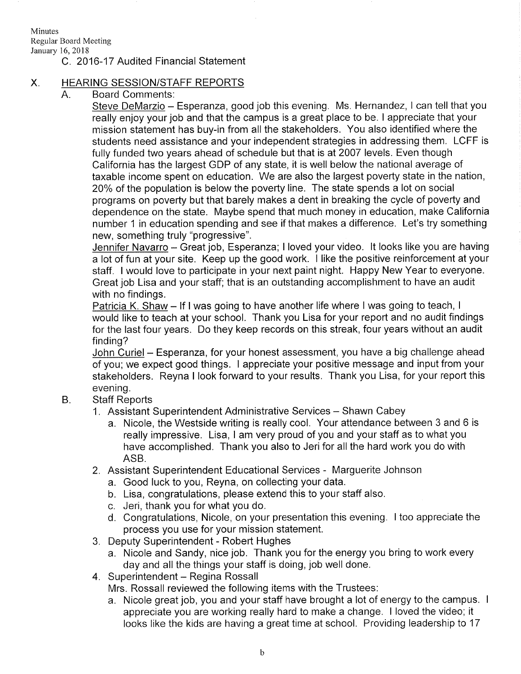Minutes

Regular Board Meeting

# January 16,2018

#### C. 2016-17 Audited Financial Statement

### X. HEARING SESSION/STAFF REPORTS

#### A. Board Comments

<u>Steve DeMarzio</u> – Esperanza, good job this evening. Ms. Hernandez, I can tell that you really enjoy your job and that the campus is a great place to be. I appreciate that your mission statement has buy-in from all the stakeholders. You also identified where the students need assistance and your independent strategies in addressing them. LCFF is fully funded two years ahead of schedule but that is at 2007 levels. Even though California has the largest GDP of any state, it is well below the national average of taxable income spent on education. We are also the largest poverty state in the nation, 20% of the population is below the povefty line. The state spends a lot on social programs on poverty but that barely makes a dent in breaking the cycle of poverty and dependence on the state. Maybe spend that much money in education, make California number 1 in education spending and see if that makes a difference. Let's try something new, something truly "progressive".

Jennifer Navarro - Great job, Esperanza; I loved your video. It looks like you are having <sup>a</sup>lot of fun at your site. Keep up the good work. I like the positive reinforcement at your staff. I would love to participate in your next paint night. Happy New Year to everyone. Great job Lisa and your staff; that is an outstanding accomplishment to have an audit with no findings.

Patricia K. Shaw - If I was going to have another life where I was going to teach, I would like to teach at your school. Thank you Lisa for your report and no audit findings for the last four years. Do they keep records on this streak, four years without an audit finding?

John Curiel - Esperanza, for your honest assessment, you have a big challenge ahead of you; we expect good things. I appreciate your positive message and input from your stakeholders. Reyna I look forward to your results. Thank you Lisa, for your report this evening.

- Staff Reports  $B<sub>1</sub>$ 
	- 1. Assistant Superintendent Administrative Services Shawn Cabey
		- a. Nicole, the Westside writing is really cool. Your attendance between 3 and 6 is really impressive. Lisa, <sup>I</sup>am very proud of you and your staff as to what you have accomplished. Thank you also to Jeri for all the hard work you do with ASB.
	- 2. Assistant Superintendent Educational Services Marguerite Johnson
		- a. Good luck to you, Reyna, on collecting your data.
		- b. Lisa, congratulations, please extend this to your staff also.
		- c. Jeri, thank you for what you do.
		- d. Congratulations, Nicole, on your presentation this evening. I too appreciate the process you use for your mission statement.
	- 3. Deputy Superintendent Robert Hughes
	- a. Nicole and Sandy, nice job. Thank you for the energy you bring to work every day and all the things your staff is doing, job well done.<br>4. Superintendent – Regina Rossall
	-

Mrs. Rossall reviewed the following items with the Trustees:

a. Nicole great job, you and your staff have brought a lot of energy to the campus. <sup>I</sup> appreciate you are working really hard to make a change. I loved the video; it looks like the kids are having a great time at school. Providing leadership to <sup>17</sup>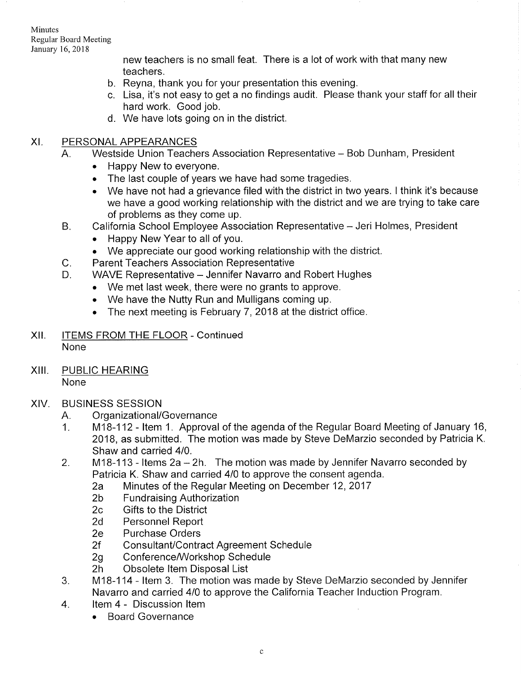Minutes Regular Board Meeting January 16,2018

> new teachers is no small feat. There is a lot of work with that many new teachers.

- b. Reyna, thank you for your presentation this evening.
- c. Lisa, it's not easy to get a no findings audit. Please thank your staff for all their hard work. Good job.
- d. We have lots going on in the district.

## XI. PERSONALAPPEARANCES

- A. Westside Union Teachers Association Representative Bob Dunham, President
	- Happy New to everyone.
	- The last couple of years we have had some tragedies.
	- . We have not had a grievance filed with the district in two years. I think it's because we have a good working relationship with the district and we are trying to take care of problems as they come up.
- California School Employee Association Representative Jeri Holmes, President B.
	- . Happy New Year to all of you.
	- . We appreciate our good working relationship with the district.
	- Parent Teachers Association Representative
- WAVE Representative Jennifer Navarro and Robert Hughes D.
	- . We met last week, there were no grants to approve.
	- . We have the Nutty Run and Mulligans coming up.
	- The next meeting is February 7, 2018 at the district office.
- Xll. ITEMS FROM THE FLOOR Continued None
- XIII. PUBLIC HEARING None

 $C_{\cdot}$ 

- XIV. BUSINESS SESSION
	-
	- A. Organizational/Governance<br>1. M18-112 Item 1. Approval of the agenda of the Regular Board Meeting of January 16, 2018, as submitted. The motion was made by Steve DeMarzio seconded by Patricia K. Shaw and carried 410.
	- 2. M1B-113 ltems 2a-2h. The motion was made by Jennifer Navarro seconded by Patricia K. Shaw and carried 4/0 to approve the consent agenda.<br>
	2a Minutes of the Regular Meeting on December 12, 2017<br>
	2b Fundraising Authorization<br>
	2c Gifts to the District
		-
		-
		-
		- 2d Personnel Report<br>2e Purchase Orders
		-
		-
		-
		-
	- 2f Consultant/Contract Agreement Schedule<br>2g Conference/Workshop Schedule<br>2h Obsolete Item Disposal List<br>3. M18-114 Item 3. The motion was made by Steve DeMarzio seconded by Jennifer Navarro and carried 4/0 to approve the California Teacher Induction Program.<br>4. ltem 4 - Discussion Item
	- - . Board Governance